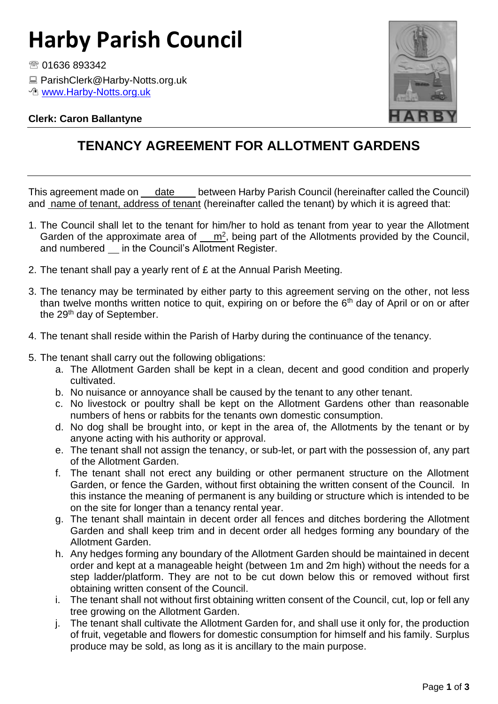# **Harby Parish Council**

● 01636 893342

■ ParishClerk@Harby-Notts.org.uk

*<sup>n</sup>* [www.Harby-Notts.org.uk](http://www.harby-notts.org.uk/)

### **Clerk: Caron Ballantyne**



### **TENANCY AGREEMENT FOR ALLOTMENT GARDENS**

This agreement made on date between Harby Parish Council (hereinafter called the Council) and name of tenant, address of tenant (hereinafter called the tenant) by which it is agreed that:

- 1. The Council shall let to the tenant for him/her to hold as tenant from year to year the Allotment Garden of the approximate area of  $\frac{m^2}{m^2}$ , being part of the Allotments provided by the Council, and numbered \_ in the Council's Allotment Register.
- 2. The tenant shall pay a yearly rent of £ at the Annual Parish Meeting.
- 3. The tenancy may be terminated by either party to this agreement serving on the other, not less than twelve months written notice to quit, expiring on or before the  $6<sup>th</sup>$  day of April or on or after the 29<sup>th</sup> day of September.
- 4. The tenant shall reside within the Parish of Harby during the continuance of the tenancy.
- 5. The tenant shall carry out the following obligations:
	- a. The Allotment Garden shall be kept in a clean, decent and good condition and properly cultivated.
	- b. No nuisance or annoyance shall be caused by the tenant to any other tenant.
	- c. No livestock or poultry shall be kept on the Allotment Gardens other than reasonable numbers of hens or rabbits for the tenants own domestic consumption.
	- d. No dog shall be brought into, or kept in the area of, the Allotments by the tenant or by anyone acting with his authority or approval.
	- e. The tenant shall not assign the tenancy, or sub-let, or part with the possession of, any part of the Allotment Garden.
	- f. The tenant shall not erect any building or other permanent structure on the Allotment Garden, or fence the Garden, without first obtaining the written consent of the Council. In this instance the meaning of permanent is any building or structure which is intended to be on the site for longer than a tenancy rental year.
	- g. The tenant shall maintain in decent order all fences and ditches bordering the Allotment Garden and shall keep trim and in decent order all hedges forming any boundary of the Allotment Garden.
	- h. Any hedges forming any boundary of the Allotment Garden should be maintained in decent order and kept at a manageable height (between 1m and 2m high) without the needs for a step ladder/platform. They are not to be cut down below this or removed without first obtaining written consent of the Council.
	- i. The tenant shall not without first obtaining written consent of the Council, cut, lop or fell any tree growing on the Allotment Garden.
	- j. The tenant shall cultivate the Allotment Garden for, and shall use it only for, the production of fruit, vegetable and flowers for domestic consumption for himself and his family. Surplus produce may be sold, as long as it is ancillary to the main purpose.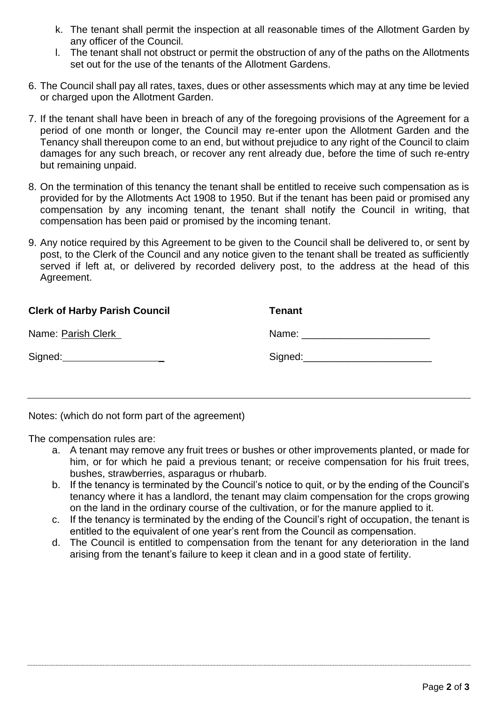- k. The tenant shall permit the inspection at all reasonable times of the Allotment Garden by any officer of the Council.
- l. The tenant shall not obstruct or permit the obstruction of any of the paths on the Allotments set out for the use of the tenants of the Allotment Gardens.
- 6. The Council shall pay all rates, taxes, dues or other assessments which may at any time be levied or charged upon the Allotment Garden.
- 7. If the tenant shall have been in breach of any of the foregoing provisions of the Agreement for a period of one month or longer, the Council may re-enter upon the Allotment Garden and the Tenancy shall thereupon come to an end, but without prejudice to any right of the Council to claim damages for any such breach, or recover any rent already due, before the time of such re-entry but remaining unpaid.
- 8. On the termination of this tenancy the tenant shall be entitled to receive such compensation as is provided for by the Allotments Act 1908 to 1950. But if the tenant has been paid or promised any compensation by any incoming tenant, the tenant shall notify the Council in writing, that compensation has been paid or promised by the incoming tenant.
- 9. Any notice required by this Agreement to be given to the Council shall be delivered to, or sent by post, to the Clerk of the Council and any notice given to the tenant shall be treated as sufficiently served if left at, or delivered by recorded delivery post, to the address at the head of this Agreement.

| <b>Clerk of Harby Parish Council</b> | Tenant                         |
|--------------------------------------|--------------------------------|
| Name: Parish Clerk                   | Name: ________________________ |
| Signed:                              | Signed:                        |

Notes: (which do not form part of the agreement)

The compensation rules are:

- a. A tenant may remove any fruit trees or bushes or other improvements planted, or made for him, or for which he paid a previous tenant; or receive compensation for his fruit trees, bushes, strawberries, asparagus or rhubarb.
- b. If the tenancy is terminated by the Council's notice to quit, or by the ending of the Council's tenancy where it has a landlord, the tenant may claim compensation for the crops growing on the land in the ordinary course of the cultivation, or for the manure applied to it.
- c. If the tenancy is terminated by the ending of the Council's right of occupation, the tenant is entitled to the equivalent of one year's rent from the Council as compensation.
- d. The Council is entitled to compensation from the tenant for any deterioration in the land arising from the tenant's failure to keep it clean and in a good state of fertility.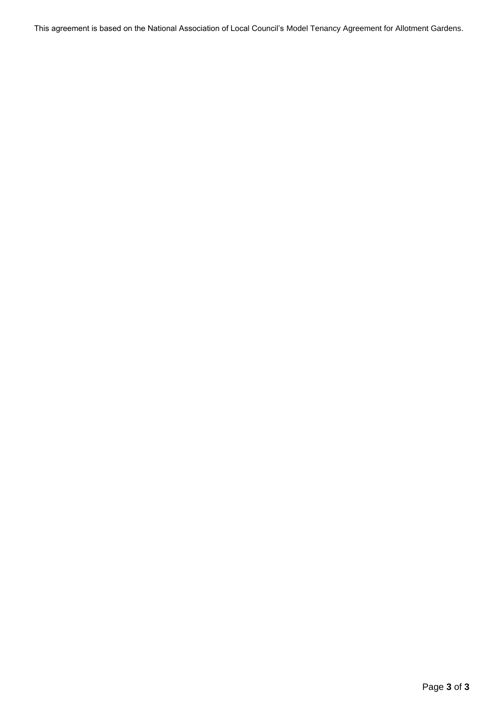This agreement is based on the National Association of Local Council's Model Tenancy Agreement for Allotment Gardens.